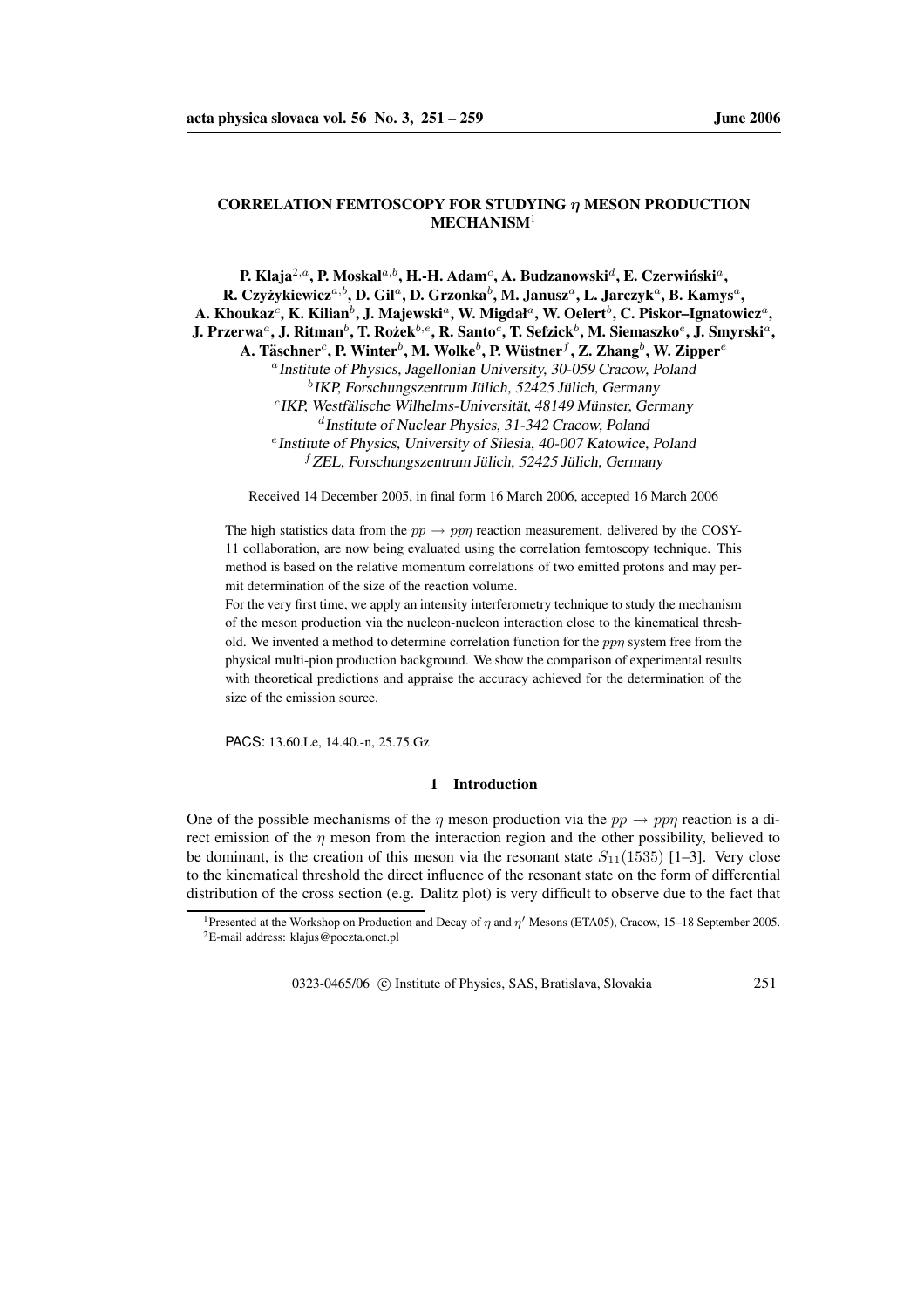# **CORRELATION FEMTOSCOPY FOR STUDYING** η **MESON PRODUCTION MECHANISM**<sup>1</sup>

 ${\bf P.~K}$ laja $^{2,a}$ ,  ${\bf P.~M}$ oskal $^{a,b}$ ,  ${\bf H.-H.~Adam}^c,$   ${\bf A.~Budzanowski}^d,$   ${\bf E.~Czerwiński}^a,$  $R$ . Czyżykiewicz<sup>a, b</sup>, D. Gil<sup>a</sup>, D. Grzonka<sup>b</sup>, M. Janusz<sup>a</sup>, L. Jarczyk<sup>a</sup>, B. Kamys<sup>a</sup>,  ${\bf A}.$   ${\bf K}$ houkaz $^c,$   ${\bf K}.$   ${\bf K}$ ilian $^b,$   ${\bf J}.$   ${\bf M}$ ajewski $^a,$   ${\bf W}.$   ${\bf M}$ igdał $^a,$   ${\bf W}.$   ${\bf O}$ elert $^b,$   ${\bf C}.$  Piskor–Ignatowicz $^a,$ J. Przerwa $^a$ , J. Ritman $^b$ , T. Rożek $^{b,e}$ , R. Santo $^c$ , T. Sefzick $^b$ , M. Siemaszko $^e$ , J. Smyrski $^a$ ,  $\mathbf{A}.$  **Täschner** $^c$ **, P.** Winter $^b$ , M. Wolke $^b$ , P. Wüstner $^f$ , Z. Zhang $^b$ , W. Zipper $^e$ <sup>a</sup> Institute of Physics, Jagellonian University, 30-059 Cracow, Poland  ${}^{b}$ IKP, Forschungszentrum Jülich, 52425 Jülich, Germany <sup>c</sup> IKP, Westfälische Wilhelms-Universität, 48149 Münster, Germany d Institute of Nuclear Physics, 31-342 Cracow, Poland e Institute of Physics, University of Silesia, 40-007 Katowice, Poland  ${}^f$ ZEL, Forschungszentrum Jülich, 52425 Jülich, Germany

Received 14 December 2005, in final form 16 March 2006, accepted 16 March 2006

The high statistics data from the  $pp \rightarrow pp\eta$  reaction measurement, delivered by the COSY-11 collaboration, are now being evaluated using the correlation femtoscopy technique. This method is based on the relative momentum correlations of two emitted protons and may permit determination of the size of the reaction volume.

For the very first time, we apply an intensity interferometry technique to study the mechanism of the meson production via the nucleon-nucleon interaction close to the kinematical threshold. We invented a method to determine correlation function for the  $pp\eta$  system free from the physical multi-pion production background. We show the comparison of experimental results with theoretical predictions and appraise the accuracy achieved for the determination of the size of the emission source.

PACS: 13.60.Le, 14.40.-n, 25.75.Gz

## **1 Introduction**

One of the possible mechanisms of the  $\eta$  meson production via the  $pp \rightarrow pp\eta$  reaction is a direct emission of the  $\eta$  meson from the interaction region and the other possibility, believed to be dominant, is the creation of this meson via the resonant state  $S_{11}(1535)$  [1–3]. Very close to the kinematical threshold the direct influence of the resonant state on the form of differential distribution of the cross section (e.g. Dalitz plot) is very difficult to observe due to the fact that

0323-0465/06 © Institute of Physics, SAS, Bratislava, Slovakia 251

<sup>&</sup>lt;sup>1</sup>Presented at the Workshop on Production and Decay of  $\eta$  and  $\eta'$  Mesons (ETA05), Cracow, 15–18 September 2005. <sup>2</sup>E-mail address: klajus@poczta.onet.pl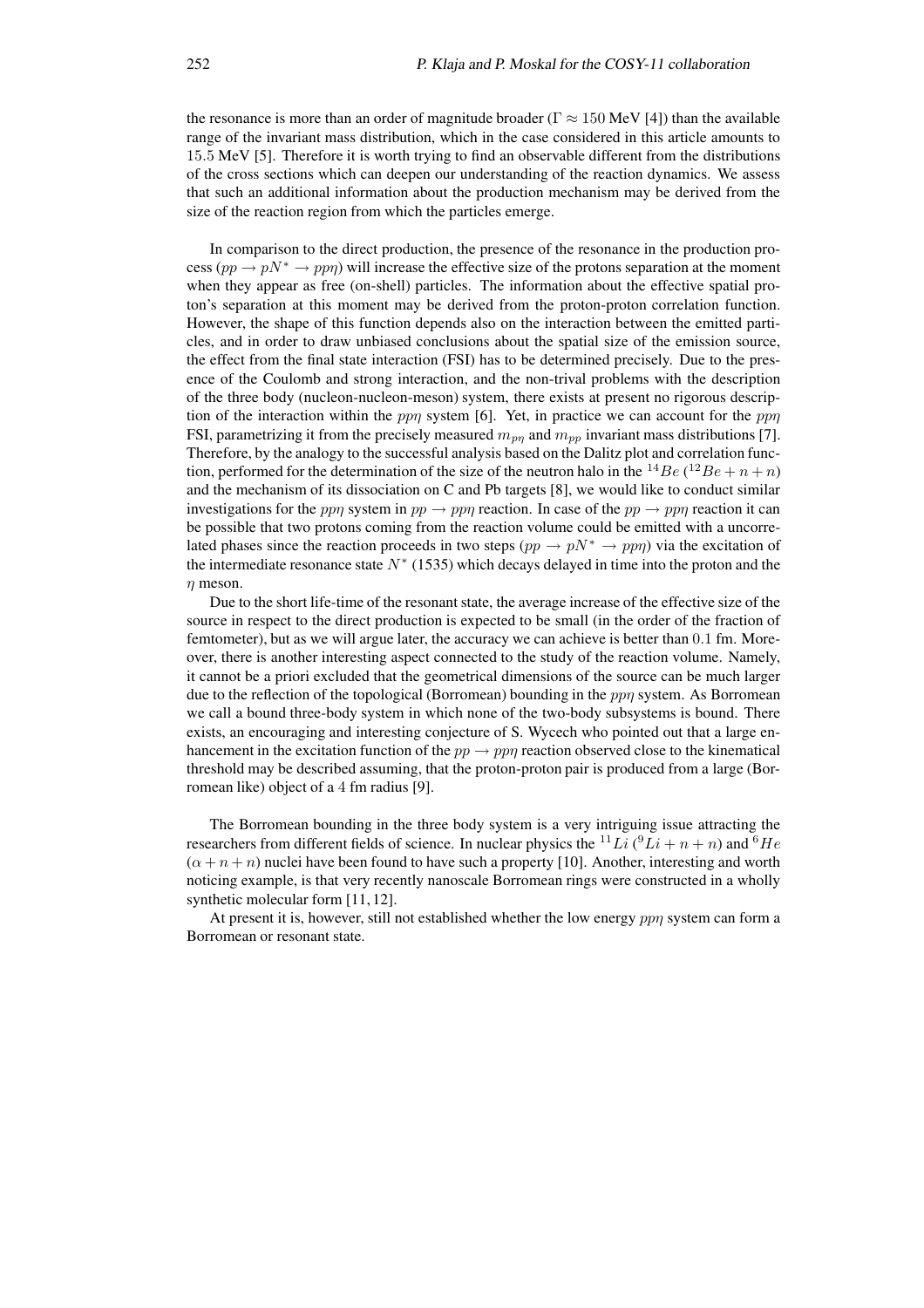the resonance is more than an order of magnitude broader ( $\Gamma \approx 150$  MeV [4]) than the available range of the invariant mass distribution, which in the case considered in this article amounts to 15.5 MeV [5]. Therefore it is worth trying to find an observable different from the distributions of the cross sections which can deepen our understanding of the reaction dynamics. We assess that such an additional information about the production mechanism may be derived from the size of the reaction region from which the particles emerge.

In comparison to the direct production, the presence of the resonance in the production process ( $pp \to pN^* \to pp\eta$ ) will increase the effective size of the protons separation at the moment when they appear as free (on-shell) particles. The information about the effective spatial proton's separation at this moment may be derived from the proton-proton correlation function. However, the shape of this function depends also on the interaction between the emitted particles, and in order to draw unbiased conclusions about the spatial size of the emission source, the effect from the final state interaction (FSI) has to be determined precisely. Due to the presence of the Coulomb and strong interaction, and the non-trival problems with the description of the three body (nucleon-nucleon-meson) system, there exists at present no rigorous description of the interaction within the ppη system [6]. Yet, in practice we can account for the pp $\eta$ FSI, parametrizing it from the precisely measured  $m_{nn}$  and  $m_{nn}$  invariant mass distributions [7]. Therefore, by the analogy to the successful analysis based on the Dalitz plot and correlation function, performed for the determination of the size of the neutron halo in the <sup>14</sup>Be (<sup>12</sup>Be + n + n) and the mechanism of its dissociation on C and Pb targets [8], we would like to conduct similar investigations for the ppη system in  $pp \to pp\eta$  reaction. In case of the  $pp \to pp\eta$  reaction it can be possible that two protons coming from the reaction volume could be emitted with a uncorrelated phases since the reaction proceeds in two steps  $(pp \to pN^* \to pp\eta)$  via the excitation of the intermediate resonance state  $N^*$  (1535) which decays delayed in time into the proton and the  $n$  meson.

Due to the short life-time of the resonant state, the average increase of the effective size of the source in respect to the direct production is expected to be small (in the order of the fraction of femtometer), but as we will argue later, the accuracy we can achieve is better than 0.1 fm. Moreover, there is another interesting aspect connected to the study of the reaction volume. Namely, it cannot be a priori excluded that the geometrical dimensions of the source can be much larger due to the reflection of the topological (Borromean) bounding in the *ppn* system. As Borromean we call a bound three-body system in which none of the two-body subsystems is bound. There exists, an encouraging and interesting conjecture of S. Wycech who pointed out that a large enhancement in the excitation function of the  $pp \rightarrow pp\eta$  reaction observed close to the kinematical threshold may be described assuming, that the proton-proton pair is produced from a large (Borromean like) object of a 4 fm radius [9].

The Borromean bounding in the three body system is a very intriguing issue attracting the researchers from different fields of science. In nuclear physics the <sup>11</sup>Li ( ${}^{9}Li + n + n$ ) and  ${}^{6}He$  $(\alpha + n + n)$  nuclei have been found to have such a property [10]. Another, interesting and worth noticing example, is that very recently nanoscale Borromean rings were constructed in a wholly synthetic molecular form [11, 12].

At present it is, however, still not established whether the low energy *ppn* system can form a Borromean or resonant state.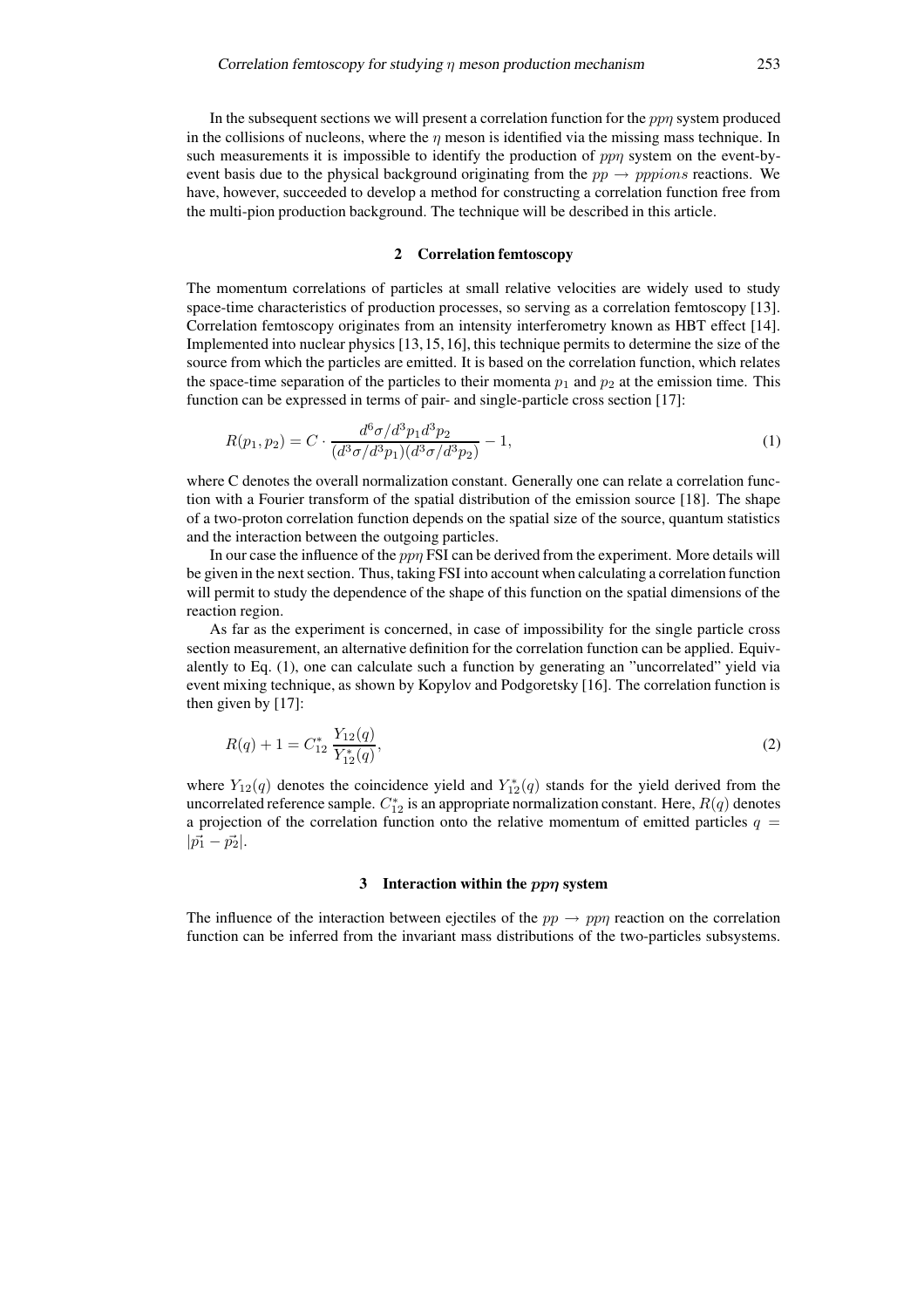#### **2 Correlation femtoscopy**

The momentum correlations of particles at small relative velocities are widely used to study space-time characteristics of production processes, so serving as a correlation femtoscopy [13]. Correlation femtoscopy originates from an intensity interferometry known as HBT effect [14]. Implemented into nuclear physics [13,15,16], this technique permits to determine the size of the source from which the particles are emitted. It is based on the correlation function, which relates the space-time separation of the particles to their momenta  $p_1$  and  $p_2$  at the emission time. This function can be expressed in terms of pair- and single-particle cross section [17]:

$$
R(p_1, p_2) = C \cdot \frac{d^6 \sigma / d^3 p_1 d^3 p_2}{(d^3 \sigma / d^3 p_1)(d^3 \sigma / d^3 p_2)} - 1,
$$
\n(1)

where C denotes the overall normalization constant. Generally one can relate a correlation function with a Fourier transform of the spatial distribution of the emission source [18]. The shape of a two-proton correlation function depends on the spatial size of the source, quantum statistics and the interaction between the outgoing particles.

In our case the influence of the *ppn* FSI can be derived from the experiment. More details will be given in the next section. Thus, taking FSI into account when calculating a correlation function will permit to study the dependence of the shape of this function on the spatial dimensions of the reaction region.

As far as the experiment is concerned, in case of impossibility for the single particle cross section measurement, an alternative definition for the correlation function can be applied. Equivalently to Eq. (1), one can calculate such a function by generating an "uncorrelated" yield via event mixing technique, as shown by Kopylov and Podgoretsky [16]. The correlation function is then given by [17]:

$$
R(q) + 1 = C_{12}^* \frac{Y_{12}(q)}{Y_{12}^*(q)},
$$
\n(2)

where  $Y_{12}(q)$  denotes the coincidence yield and  $Y_{12}^*(q)$  stands for the yield derived from the uncorrelated reference sample.  $C_{12}^*$  is an appropriate normalization constant. Here,  $R(q)$  denotes a projection of the correlation function onto the relative momentum of emitted particles  $q =$  $|\vec{p_1} - \vec{p_2}|.$ 

## **3 Interaction within the** ppη **system**

The influence of the interaction between ejectiles of the  $pp \rightarrow pp\eta$  reaction on the correlation function can be inferred from the invariant mass distributions of the two-particles subsystems.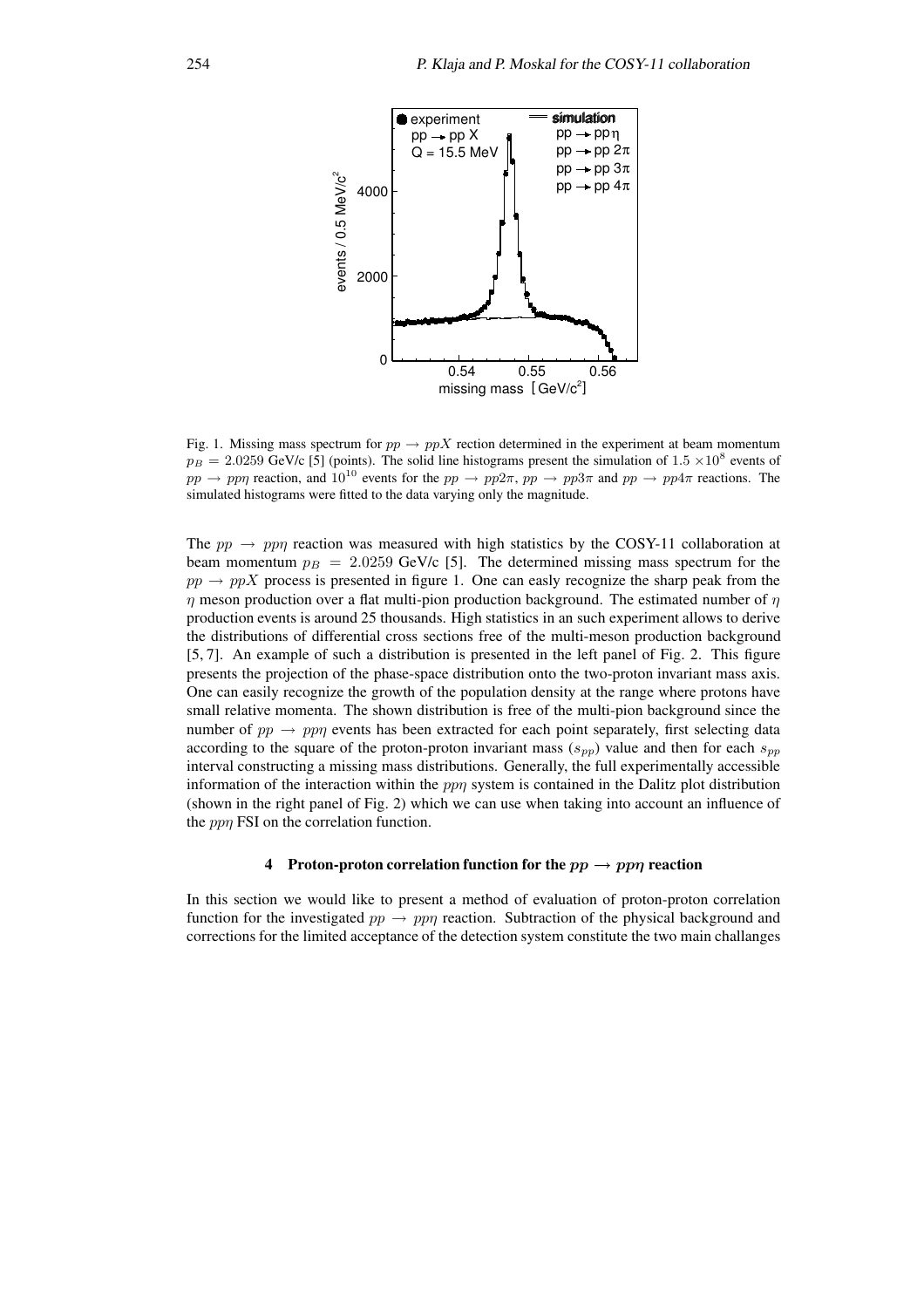

Fig. 1. Missing mass spectrum for  $pp \rightarrow ppX$  rection determined in the experiment at beam momentum  $p_B = 2.0259$  GeV/c [5] (points). The solid line histograms present the simulation of 1.5  $\times 10^8$  events of  $pp \to pp\eta$  reaction, and  $10^{10}$  events for the  $pp \to pp2\pi$ ,  $pp \to pp3\pi$  and  $pp \to pp4\pi$  reactions. The simulated histograms were fitted to the data varying only the magnitude.

The  $pp \rightarrow pp\eta$  reaction was measured with high statistics by the COSY-11 collaboration at beam momentum  $p_B = 2.0259$  GeV/c [5]. The determined missing mass spectrum for the  $pp \rightarrow ppX$  process is presented in figure 1. One can easly recognize the sharp peak from the  $\eta$  meson production over a flat multi-pion production background. The estimated number of  $\eta$ production events is around 25 thousands. High statistics in an such experiment allows to derive the distributions of differential cross sections free of the multi-meson production background [5, 7]. An example of such a distribution is presented in the left panel of Fig. 2. This figure presents the projection of the phase-space distribution onto the two-proton invariant mass axis. One can easily recognize the growth of the population density at the range where protons have small relative momenta. The shown distribution is free of the multi-pion background since the number of  $pp \rightarrow pp\eta$  events has been extracted for each point separately, first selecting data according to the square of the proton-proton invariant mass  $(s_{pp})$  value and then for each  $s_{pp}$ interval constructing a missing mass distributions. Generally, the full experimentally accessible information of the interaction within the *ppn* system is contained in the Dalitz plot distribution (shown in the right panel of Fig. 2) which we can use when taking into account an influence of the *ppn* FSI on the correlation function.

# **4 Proton-proton correlation function** for the  $pp \rightarrow pp\eta$  **reaction**

In this section we would like to present a method of evaluation of proton-proton correlation function for the investigated  $pp \rightarrow pp\eta$  reaction. Subtraction of the physical background and corrections for the limited acceptance of the detection system constitute the two main challanges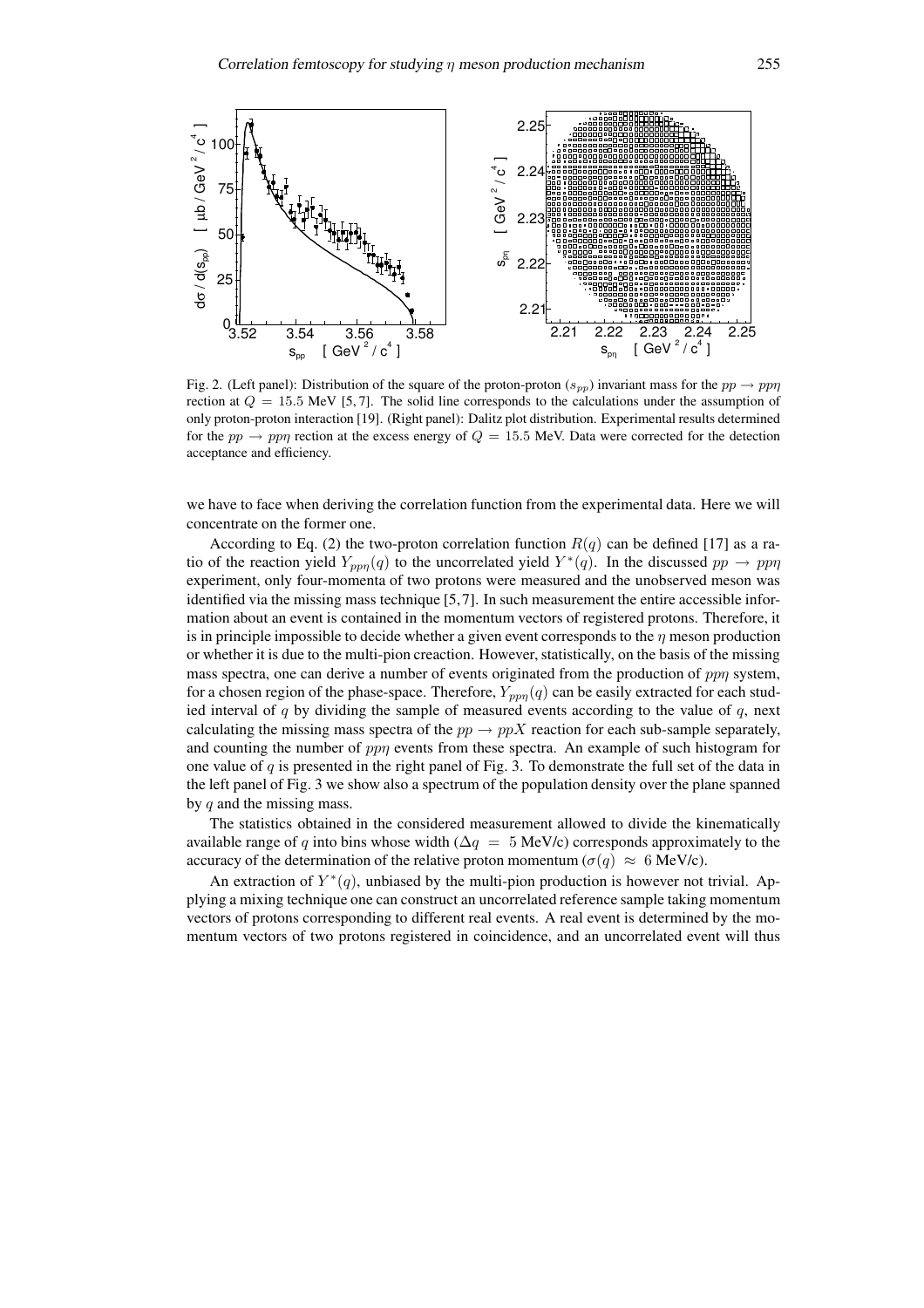

Fig. 2. (Left panel): Distribution of the square of the proton-proton  $(s_{pp})$  invariant mass for the  $pp \to pp\eta$ rection at  $Q = 15.5$  MeV [5, 7]. The solid line corresponds to the calculations under the assumption of only proton-proton interaction [19]. (Right panel): Dalitz plot distribution. Experimental results determined for the pp  $\rightarrow$  ppn rection at the excess energy of  $Q = 15.5$  MeV. Data were corrected for the detection acceptance and efficiency.

we have to face when deriving the correlation function from the experimental data. Here we will concentrate on the former one.

According to Eq. (2) the two-proton correlation function  $R(q)$  can be defined [17] as a ratio of the reaction yield  $Y_{pp\eta}(q)$  to the uncorrelated yield  $Y^*(q)$ . In the discussed  $pp \to pp\eta$ experiment, only four-momenta of two protons were measured and the unobserved meson was identified via the missing mass technique [5,7]. In such measurement the entire accessible information about an event is contained in the momentum vectors of registered protons. Therefore, it is in principle impossible to decide whether a given event corresponds to the  $\eta$  meson production or whether it is due to the multi-pion creaction. However, statistically, on the basis of the missing mass spectra, one can derive a number of events originated from the production of  $pp\eta$  system, for a chosen region of the phase-space. Therefore,  $Y_{ppn}(q)$  can be easily extracted for each studied interval of q by dividing the sample of measured events according to the value of  $q$ , next calculating the missing mass spectra of the  $pp \rightarrow ppX$  reaction for each sub-sample separately, and counting the number of  $pp\eta$  events from these spectra. An example of such histogram for one value of  $q$  is presented in the right panel of Fig. 3. To demonstrate the full set of the data in the left panel of Fig. 3 we show also a spectrum of the population density over the plane spanned by  $q$  and the missing mass.

The statistics obtained in the considered measurement allowed to divide the kinematically available range of q into bins whose width ( $\Delta q = 5$  MeV/c) corresponds approximately to the accuracy of the determination of the relative proton momentum ( $\sigma(q) \approx 6$  MeV/c).

An extraction of  $Y^*(q)$ , unbiased by the multi-pion production is however not trivial. Applying a mixing technique one can construct an uncorrelated reference sample taking momentum vectors of protons corresponding to different real events. A real event is determined by the momentum vectors of two protons registered in coincidence, and an uncorrelated event will thus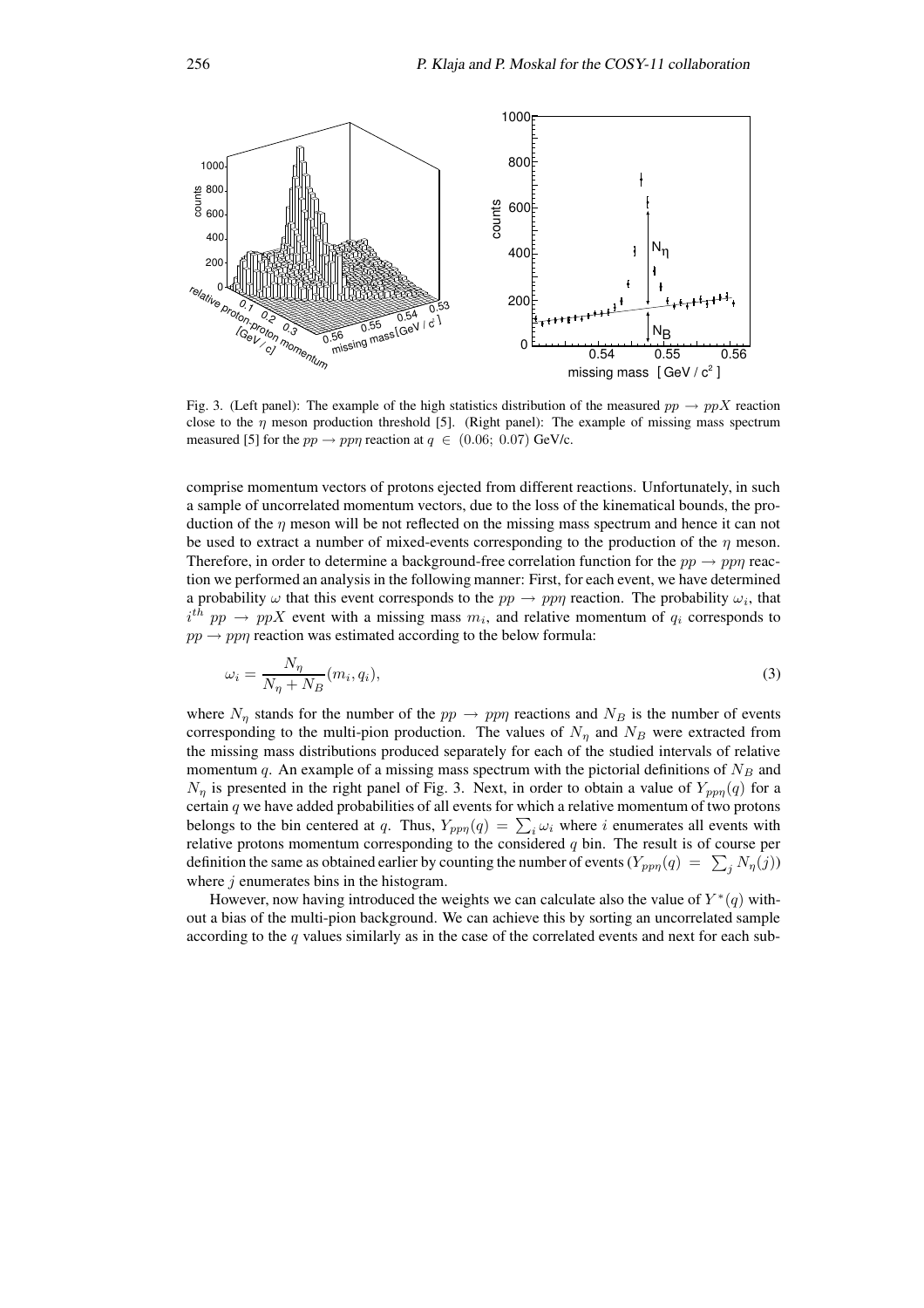

Fig. 3. (Left panel): The example of the high statistics distribution of the measured  $pp \rightarrow ppX$  reaction close to the  $\eta$  meson production threshold [5]. (Right panel): The example of missing mass spectrum measured [5] for the  $pp \rightarrow pp\eta$  reaction at  $q \in (0.06; 0.07)$  GeV/c.

comprise momentum vectors of protons ejected from different reactions. Unfortunately, in such a sample of uncorrelated momentum vectors, due to the loss of the kinematical bounds, the production of the  $\eta$  meson will be not reflected on the missing mass spectrum and hence it can not be used to extract a number of mixed-events corresponding to the production of the  $\eta$  meson. Therefore, in order to determine a background-free correlation function for the  $pp \rightarrow pp\eta$  reaction we performed an analysis in the following manner: First, for each event, we have determined a probability  $\omega$  that this event corresponds to the  $pp \to pp\eta$  reaction. The probability  $\omega_i$ , that  $i^{th}$   $pp \rightarrow ppX$  event with a missing mass  $m_i$ , and relative momentum of  $q_i$  corresponds to  $pp \rightarrow pp\eta$  reaction was estimated according to the below formula:

$$
\omega_i = \frac{N_\eta}{N_\eta + N_B}(m_i, q_i),\tag{3}
$$

where  $N_{\eta}$  stands for the number of the  $pp \to pp\eta$  reactions and  $N_B$  is the number of events corresponding to the multi-pion production. The values of  $N_{\eta}$  and  $N_B$  were extracted from the missing mass distributions produced separately for each of the studied intervals of relative momentum q. An example of a missing mass spectrum with the pictorial definitions of  $N_B$  and  $N_{\eta}$  is presented in the right panel of Fig. 3. Next, in order to obtain a value of  $Y_{pp\eta}(q)$  for a certain  $q$  we have added probabilities of all events for which a relative momentum of two protons belongs to the bin centered at q. Thus,  $Y_{pp\eta}(q) = \sum_i \omega_i$  where i enumerates all events with relative protons momentum corresponding to the considered  $q$  bin. The result is of course per definition the same as obtained earlier by counting the number of events  $(Y_{pp\eta}(q) = \sum_j N_{\eta}(j))$ where  $j$  enumerates bins in the histogram.

However, now having introduced the weights we can calculate also the value of  $Y^*(q)$  without a bias of the multi-pion background. We can achieve this by sorting an uncorrelated sample according to the  $q$  values similarly as in the case of the correlated events and next for each sub-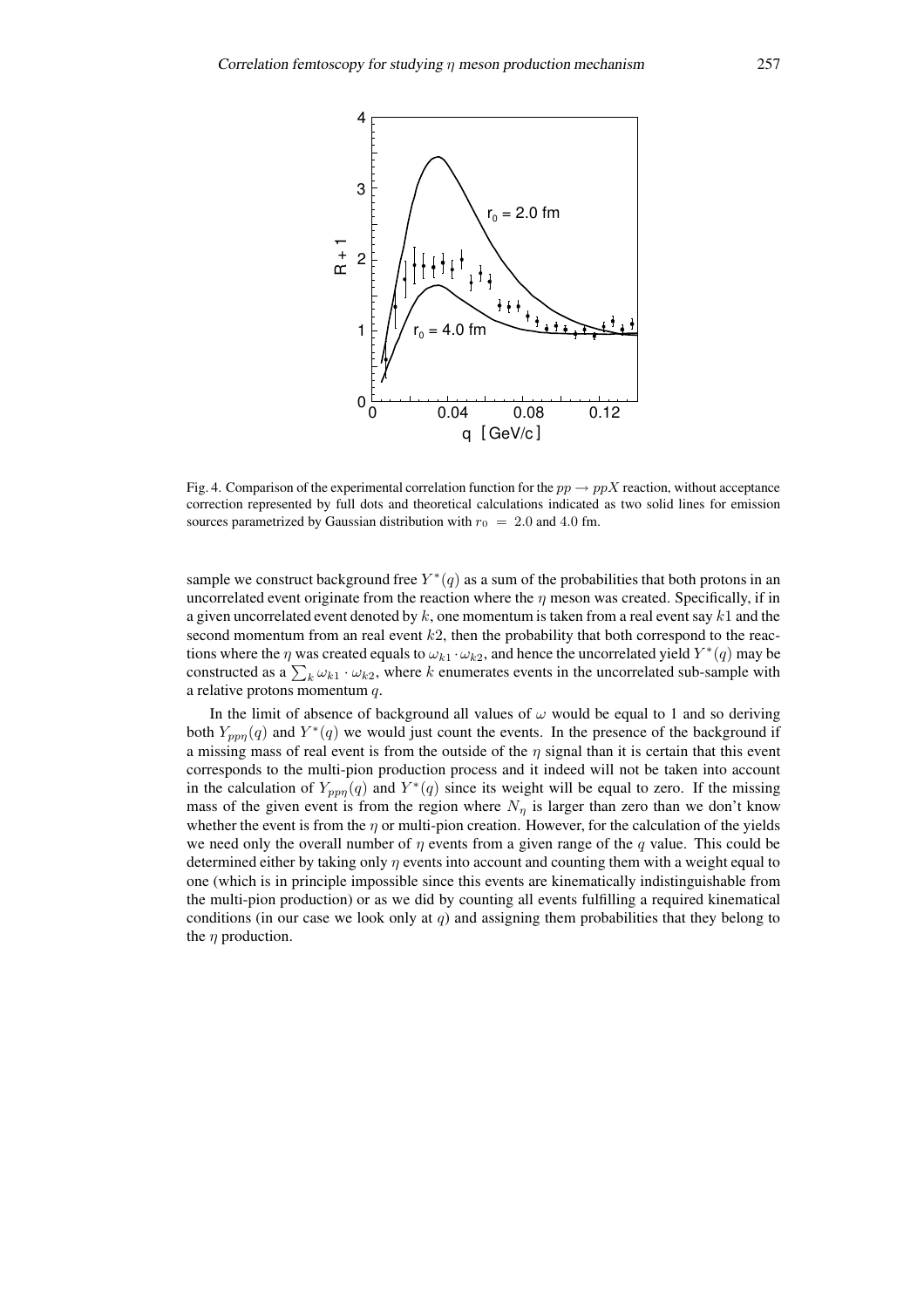

Fig. 4. Comparison of the experimental correlation function for the  $pp \rightarrow ppX$  reaction, without acceptance correction represented by full dots and theoretical calculations indicated as two solid lines for emission sources parametrized by Gaussian distribution with  $r_0 = 2.0$  and 4.0 fm.

sample we construct background free  $Y^*(q)$  as a sum of the probabilities that both protons in an uncorrelated event originate from the reaction where the  $\eta$  meson was created. Specifically, if in a given uncorrelated event denoted by  $k$ , one momentum is taken from a real event say  $k1$  and the second momentum from an real event  $k2$ , then the probability that both correspond to the reactions where the  $\eta$  was created equals to  $\omega_{k1} \cdot \omega_{k2}$ , and hence the uncorrelated yield  $Y^*(q)$  may be constructed as a  $\sum_k \omega_{k1} \cdot \omega_{k2}$ , where k enumerates events in the uncorrelated sub-sample with a relative protons momentum q.

In the limit of absence of background all values of  $\omega$  would be equal to 1 and so deriving both  $Y_{pp\eta}(q)$  and  $Y^*(q)$  we would just count the events. In the presence of the background if a missing mass of real event is from the outside of the  $\eta$  signal than it is certain that this event corresponds to the multi-pion production process and it indeed will not be taken into account in the calculation of  $Y_{pp\eta}(q)$  and  $Y^*(q)$  since its weight will be equal to zero. If the missing mass of the given event is from the region where  $N_n$  is larger than zero than we don't know whether the event is from the  $\eta$  or multi-pion creation. However, for the calculation of the yields we need only the overall number of  $\eta$  events from a given range of the q value. This could be determined either by taking only  $\eta$  events into account and counting them with a weight equal to one (which is in principle impossible since this events are kinematically indistinguishable from the multi-pion production) or as we did by counting all events fulfilling a required kinematical conditions (in our case we look only at  $q$ ) and assigning them probabilities that they belong to the  $\eta$  production.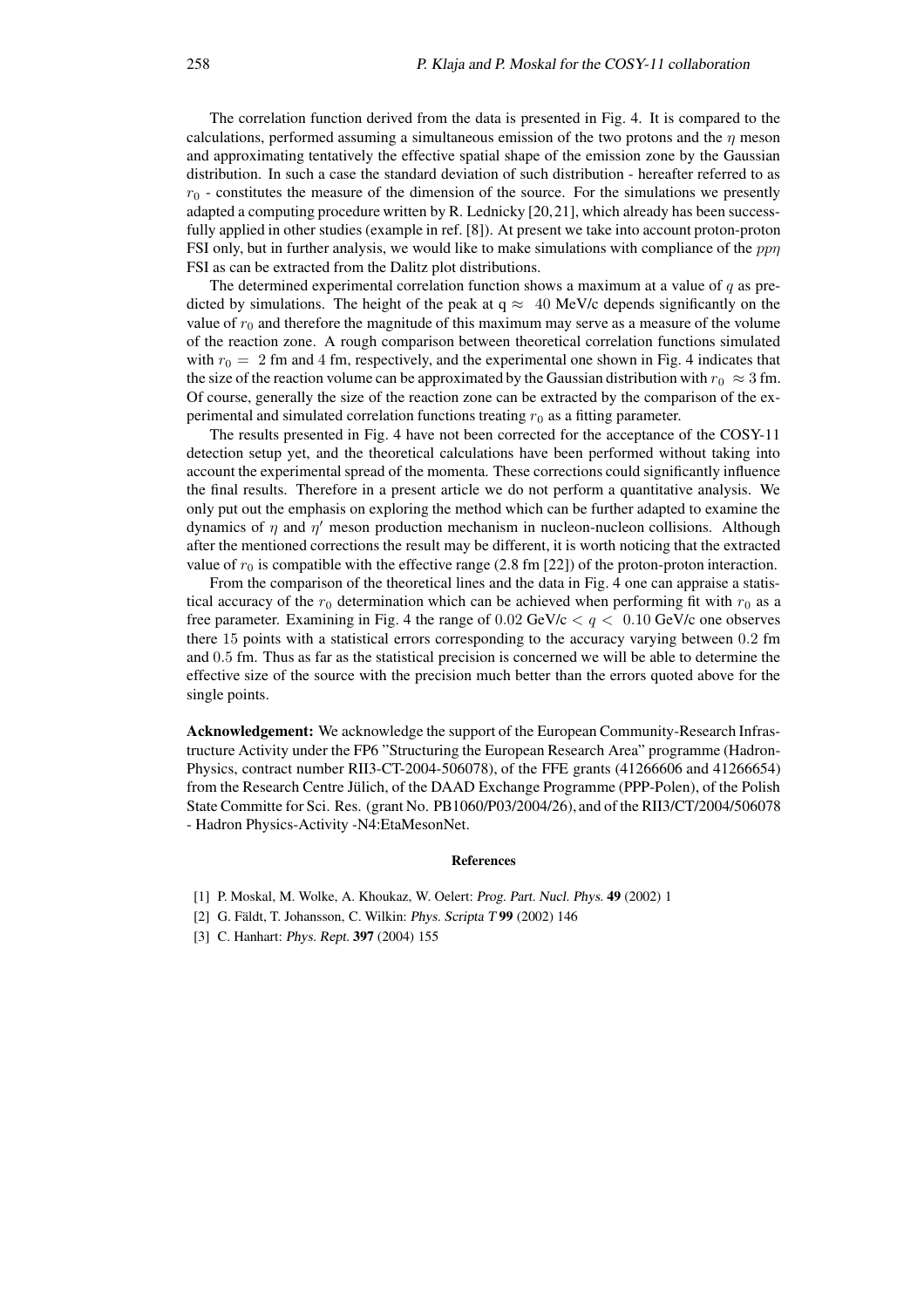The correlation function derived from the data is presented in Fig. 4. It is compared to the calculations, performed assuming a simultaneous emission of the two protons and the  $\eta$  meson and approximating tentatively the effective spatial shape of the emission zone by the Gaussian distribution. In such a case the standard deviation of such distribution - hereafter referred to as  $r_0$  - constitutes the measure of the dimension of the source. For the simulations we presently adapted a computing procedure written by R. Lednicky [20,21], which already has been successfully applied in other studies (example in ref. [8]). At present we take into account proton-proton FSI only, but in further analysis, we would like to make simulations with compliance of the  $pp\eta$ FSI as can be extracted from the Dalitz plot distributions.

The determined experimental correlation function shows a maximum at a value of  $q$  as predicted by simulations. The height of the peak at  $q \approx 40$  MeV/c depends significantly on the value of  $r_0$  and therefore the magnitude of this maximum may serve as a measure of the volume of the reaction zone. A rough comparison between theoretical correlation functions simulated with  $r_0 = 2$  fm and 4 fm, respectively, and the experimental one shown in Fig. 4 indicates that the size of the reaction volume can be approximated by the Gaussian distribution with  $r_0 \approx 3$  fm. Of course, generally the size of the reaction zone can be extracted by the comparison of the experimental and simulated correlation functions treating  $r_0$  as a fitting parameter.

The results presented in Fig. 4 have not been corrected for the acceptance of the COSY-11 detection setup yet, and the theoretical calculations have been performed without taking into account the experimental spread of the momenta. These corrections could significantly influence the final results. Therefore in a present article we do not perform a quantitative analysis. We only put out the emphasis on exploring the method which can be further adapted to examine the dynamics of  $\eta$  and  $\eta'$  meson production mechanism in nucleon-nucleon collisions. Although after the mentioned corrections the result may be different, it is worth noticing that the extracted value of  $r_0$  is compatible with the effective range (2.8 fm [22]) of the proton-proton interaction.

From the comparison of the theoretical lines and the data in Fig. 4 one can appraise a statistical accuracy of the  $r_0$  determination which can be achieved when performing fit with  $r_0$  as a free parameter. Examining in Fig. 4 the range of  $0.02 \text{ GeV}/c < q < 0.10 \text{ GeV}/c$  one observes there 15 points with a statistical errors corresponding to the accuracy varying between 0.2 fm and 0.5 fm. Thus as far as the statistical precision is concerned we will be able to determine the effective size of the source with the precision much better than the errors quoted above for the single points.

**Acknowledgement:** We acknowledge the support of the European Community-Research Infrastructure Activity under the FP6 "Structuring the European Research Area" programme (Hadron-Physics, contract number RII3-CT-2004-506078), of the FFE grants (41266606 and 41266654) from the Research Centre Jülich, of the DAAD Exchange Programme (PPP-Polen), of the Polish State Committe for Sci. Res. (grant No. PB1060/P03/2004/26), and of the RII3/CT/2004/506078 - Hadron Physics-Activity -N4:EtaMesonNet.

#### **References**

- [1] P. Moskal, M. Wolke, A. Khoukaz, W. Oelert: Prog. Part. Nucl. Phys. **49** (2002) 1
- [2] G. Fäldt, T. Johansson, C. Wilkin: *Phys. Scripta* T 99 (2002) 146
- [3] C. Hanhart: Phys. Rept. **397** (2004) 155